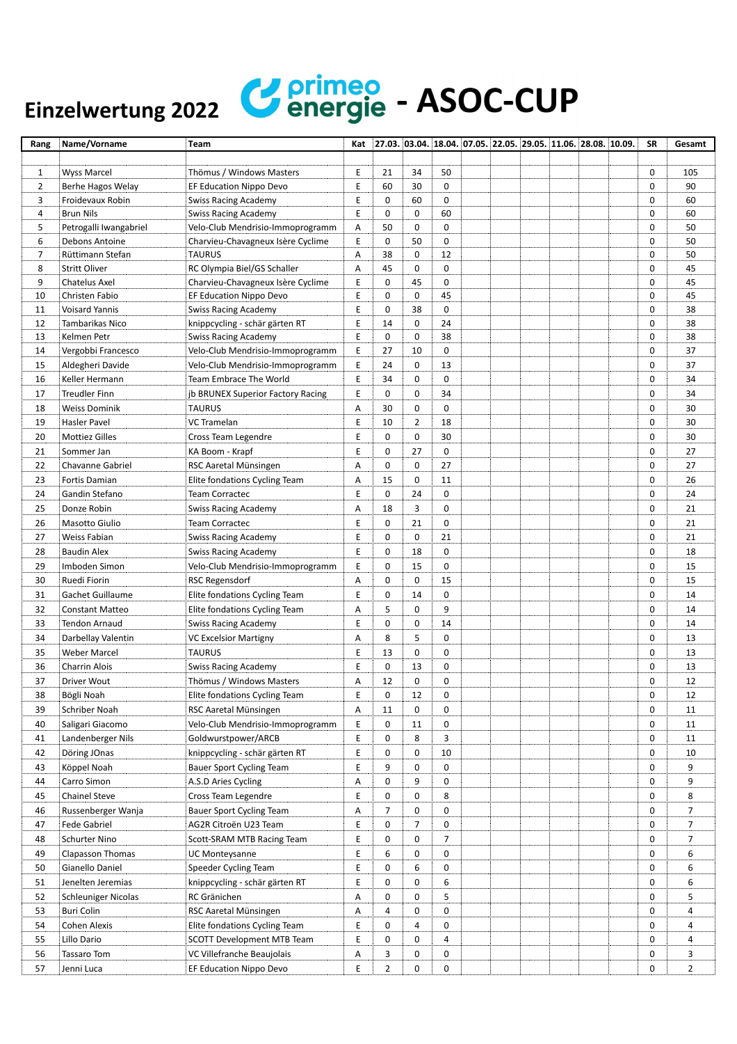## Einzelwertung 2022 **Venerg**

|     | <b>C</b> energie - ASOC-CUP |  |
|-----|-----------------------------|--|
| 022 |                             |  |

| Rang           | Name/Vorname               | Team                              |   |             |                |    |  |  | Kat 27.03. 03.04. 18.04. 07.05. 22.05. 29.05. 11.06. 28.08. 10.09. | SR          | Gesamt         |
|----------------|----------------------------|-----------------------------------|---|-------------|----------------|----|--|--|--------------------------------------------------------------------|-------------|----------------|
|                |                            |                                   |   |             |                |    |  |  |                                                                    |             |                |
| 1              | <b>Wyss Marcel</b>         | Thömus / Windows Masters          | E | 21          | 34             | 50 |  |  |                                                                    | 0           | 105            |
| $\overline{2}$ | Berhe Hagos Welay          | EF Education Nippo Devo           | Ε | 60          | 30             | 0  |  |  |                                                                    | 0           | 90             |
| 3              | Froidevaux Robin           | <b>Swiss Racing Academy</b>       | Ε | 0           | 60             | 0  |  |  |                                                                    | 0           | 60             |
| 4              | <b>Brun Nils</b>           | <b>Swiss Racing Academy</b>       | E | 0           | $\mathbf 0$    | 60 |  |  |                                                                    | 0           | 60             |
| 5              | Petrogalli Iwangabriel     | Velo-Club Mendrisio-Immoprogramm  | Α | 50          | 0              | 0  |  |  |                                                                    | 0           | 50             |
| 6              | Debons Antoine             | Charvieu-Chavagneux Isère Cyclime | Ε | 0           | 50             | 0  |  |  |                                                                    | 0           | 50             |
| $\overline{7}$ | Rüttimann Stefan           | <b>TAURUS</b>                     | Α | 38          | $\mathbf 0$    | 12 |  |  |                                                                    | 0           | 50             |
| 8              | <b>Stritt Oliver</b>       | RC Olympia Biel/GS Schaller       | Α | 45          | $\mathbf 0$    | 0  |  |  |                                                                    | $\mathbf 0$ | 45             |
| 9              | <b>Chatelus Axel</b>       | Charvieu-Chavagneux Isère Cyclime | Ε | 0           | 45             | 0  |  |  |                                                                    | 0           | 45             |
| 10             | Christen Fabio             | EF Education Nippo Devo           | E | 0           | 0              | 45 |  |  |                                                                    | $\mathbf 0$ | 45             |
| 11             | <b>Voisard Yannis</b>      | <b>Swiss Racing Academy</b>       | E | 0           | 38             | 0  |  |  |                                                                    | $\mathbf 0$ | 38             |
| 12             | Tambarikas Nico            | knippcycling - schär gärten RT    | E | 14          | $\mathbf 0$    | 24 |  |  |                                                                    | 0           | 38             |
| 13             | Kelmen Petr                | <b>Swiss Racing Academy</b>       | Ε | $\mathbf 0$ | $\mathbf 0$    | 38 |  |  |                                                                    | 0           | 38             |
| 14             | Vergobbi Francesco         | Velo-Club Mendrisio-Immoprogramm  | Ε | 27          | 10             | 0  |  |  |                                                                    | $\mathbf 0$ | 37             |
| 15             | Aldegheri Davide           | Velo-Club Mendrisio-Immoprogramm  | Ε | 24          | $\mathbf 0$    | 13 |  |  |                                                                    | 0           | 37             |
| 16             | Keller Hermann             | Team Embrace The World            | E | 34          | 0              | 0  |  |  |                                                                    | 0           | 34             |
| 17             | <b>Treudler Finn</b>       | jb BRUNEX Superior Factory Racing | Ε | 0           | 0              | 34 |  |  |                                                                    | 0           | 34             |
| 18             | Weiss Dominik              | <b>TAURUS</b>                     | Α | 30          | $\mathbf 0$    | 0  |  |  |                                                                    | $\mathbf 0$ | 30             |
| 19             | Hasler Pavel               | VC Tramelan                       | E | 10          | $\overline{2}$ | 18 |  |  |                                                                    | 0           | 30             |
| 20             | <b>Mottiez Gilles</b>      | Cross Team Legendre               | Ε | 0           | 0              | 30 |  |  |                                                                    | 0           | 30             |
| 21             | Sommer Jan                 | KA Boom - Krapf                   | E | 0           | 27             | 0  |  |  |                                                                    | 0           | 27             |
| 22             | Chavanne Gabriel           | RSC Aaretal Münsingen             | Α | 0           | 0              | 27 |  |  |                                                                    | $\mathbf 0$ | 27             |
|                |                            |                                   |   |             | 0              |    |  |  |                                                                    | 0           | 26             |
| 23             | Fortis Damian              | Elite fondations Cycling Team     | Α | 15<br>0     |                | 11 |  |  |                                                                    |             |                |
| 24             | Gandin Stefano             | <b>Team Corractec</b>             | Ε |             | 24             | 0  |  |  |                                                                    | 0           | 24             |
| 25             | Donze Robin                | <b>Swiss Racing Academy</b>       | Α | 18          | 3              | 0  |  |  |                                                                    | 0           | 21             |
| 26             | Masotto Giulio             | <b>Team Corractec</b>             | Ε | 0           | 21             | 0  |  |  |                                                                    | 0           | 21             |
| 27             | Weiss Fabian               | <b>Swiss Racing Academy</b>       | Ε | 0           | $\mathbf 0$    | 21 |  |  |                                                                    | 0           | 21             |
| 28             | <b>Baudin Alex</b>         | <b>Swiss Racing Academy</b>       | Е | 0           | 18             | 0  |  |  |                                                                    | 0           | 18             |
| 29             | Imboden Simon              | Velo-Club Mendrisio-Immoprogramm  | Ε | 0           | 15             | 0  |  |  |                                                                    | $\mathbf 0$ | 15             |
| 30             | Ruedi Fiorin               | <b>RSC Regensdorf</b>             | Α | 0           | 0              | 15 |  |  |                                                                    | 0           | 15             |
| 31             | Gachet Guillaume           | Elite fondations Cycling Team     | Е | 0           | 14             | 0  |  |  |                                                                    | 0           | 14             |
| 32             | <b>Constant Matteo</b>     | Elite fondations Cycling Team     | Α | 5           | 0              | 9  |  |  |                                                                    | 0           | 14             |
| 33             | Tendon Arnaud              | <b>Swiss Racing Academy</b>       | E | 0           | $\mathbf 0$    | 14 |  |  |                                                                    | $\mathbf 0$ | 14             |
| 34             | Darbellay Valentin         | <b>VC Excelsior Martigny</b>      | Α | 8           | 5              | 0  |  |  |                                                                    | 0           | 13             |
| 35             | <b>Weber Marcel</b>        | <b>TAURUS</b>                     | Е | 13          | 0              | 0  |  |  |                                                                    | 0           | 13             |
| 36             | Charrin Alois              | <b>Swiss Racing Academy</b>       | E | $\mathbf 0$ | 13             | 0  |  |  |                                                                    | $\mathbf 0$ | 13             |
| 37             | <b>Driver Wout</b>         | Thömus / Windows Masters          | Α | 12          | 0              | 0  |  |  |                                                                    | 0           | 12             |
| 38             | Bögli Noah                 | Elite fondations Cycling Team     | E | 0           | 12             | 0  |  |  |                                                                    | 0           | 12             |
| 39             | Schriber Noah              | RSC Aaretal Münsingen             | Α | 11          | 0              | 0  |  |  |                                                                    | 0           | 11             |
| 40             | Saligari Giacomo           | Velo-Club Mendrisio-Immoprogramm  | Ε | 0           | 11             | 0  |  |  |                                                                    | 0           | 11             |
| 41             | Landenberger Nils          | Goldwurstpower/ARCB               | Ε | 0           | 8              | 3  |  |  |                                                                    | 0           | 11             |
| 42             | Döring JOnas               | knippcycling - schär gärten RT    | Е | 0           | 0              | 10 |  |  |                                                                    | 0           | 10             |
| 43             | Köppel Noah                | <b>Bauer Sport Cycling Team</b>   | Е | 9           | 0              | 0  |  |  |                                                                    | 0           | 9              |
| 44             | Carro Simon                | A.S.D Aries Cycling               | Α | 0           | 9              | 0  |  |  |                                                                    | 0           | 9              |
| 45             | <b>Chainel Steve</b>       | Cross Team Legendre               | Ε | 0           | 0              | 8  |  |  |                                                                    | 0           | 8              |
| 46             | Russenberger Wanja         | Bauer Sport Cycling Team          | Α | 7           | 0              | 0  |  |  |                                                                    | 0           | 7              |
| 47             | Fede Gabriel               | AG2R Citroën U23 Team             | Е | 0           | $\overline{7}$ | 0  |  |  |                                                                    | 0           | 7              |
| 48             | Schurter Nino              | Scott-SRAM MTB Racing Team        | E | 0           | 0              | 7  |  |  |                                                                    | 0           | 7              |
| 49             | Clapasson Thomas           | UC Monteysanne                    | Е | 6           | 0              | 0  |  |  |                                                                    | 0           | 6              |
|                |                            |                                   |   |             |                |    |  |  |                                                                    |             |                |
| 50             | Gianello Daniel            | Speeder Cycling Team              | Е | 0           | 6              | 0  |  |  |                                                                    | 0           | 6              |
| 51             | Jenelten Jeremias          | knippcycling - schär gärten RT    | Ε | 0           | 0              | 6  |  |  |                                                                    | 0           | 6              |
| 52             | <b>Schleuniger Nicolas</b> | RC Gränichen                      | Α | 0           | $\mathbf 0$    | 5  |  |  |                                                                    | 0           | 5              |
| 53             | Buri Colin                 | RSC Aaretal Münsingen             | Α | 4           | 0              | 0  |  |  |                                                                    | 0           | 4              |
| 54             | Cohen Alexis               | Elite fondations Cycling Team     | Е | 0           | 4              | 0  |  |  |                                                                    | 0           | 4              |
| 55             | Lillo Dario                | <b>SCOTT Development MTB Team</b> | Ε | 0           | 0              | 4  |  |  |                                                                    | 0           | 4              |
| 56             | Tassaro Tom                | VC Villefranche Beaujolais        | Α | 3           | 0              | 0  |  |  |                                                                    | 0           | 3              |
| 57             | Jenni Luca                 | EF Education Nippo Devo           | Е | 2           | 0              | 0  |  |  |                                                                    | 0           | $\overline{2}$ |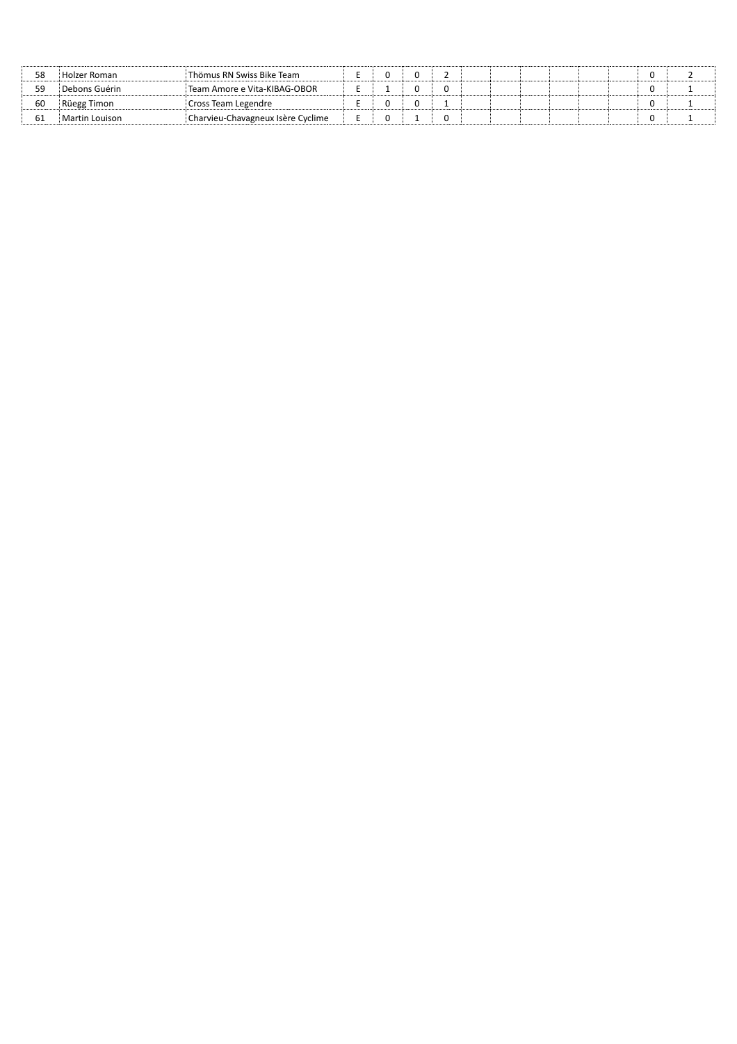| 58 | Holzer Roman   | Thömus RN Swiss Bike Team         |  |  |  |  |  |  |
|----|----------------|-----------------------------------|--|--|--|--|--|--|
|    | Debons Guérin  | Team Amore e Vita-KIBAG-OBOR      |  |  |  |  |  |  |
| 60 | Rüegg Timon    | Cross Team Legendre               |  |  |  |  |  |  |
| 61 | Martin Louison | Charvieu-Chavagneux Isère Cyclime |  |  |  |  |  |  |